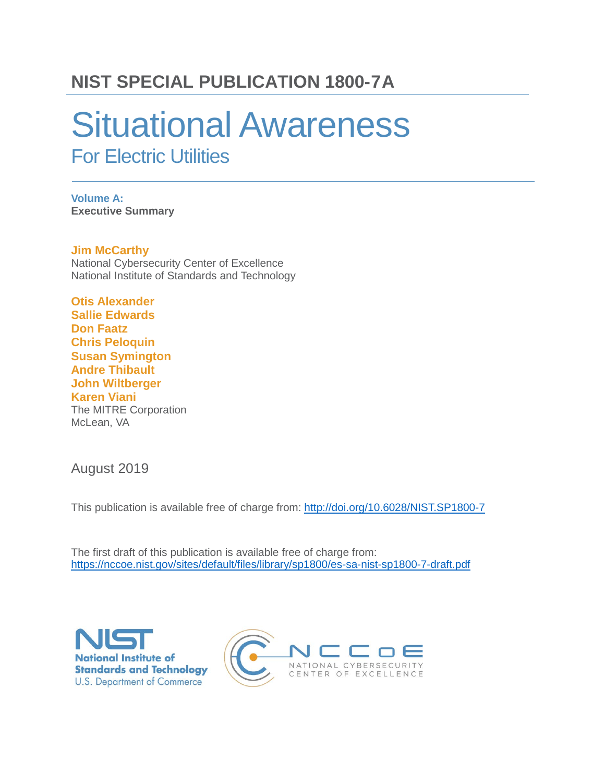### **NIST SPECIAL PUBLICATION 1800-7A**

# Situational Awareness For Electric Utilities

**Volume A: Executive Summary**

**Jim McCarthy** National Cybersecurity Center of Excellence National Institute of Standards and Technology

**Otis Alexander Sallie Edwards Don Faatz Chris Peloquin Susan Symington Andre Thibault John Wiltberger Karen Viani** The MITRE Corporation McLean, VA

August 2019

This publication is available free of charge from: <http://doi.org/10.6028/NIST.SP1800-7>

The first draft of this publication is available free of charge from: <https://nccoe.nist.gov/sites/default/files/library/sp1800/es-sa-nist-sp1800-7-draft.pdf>



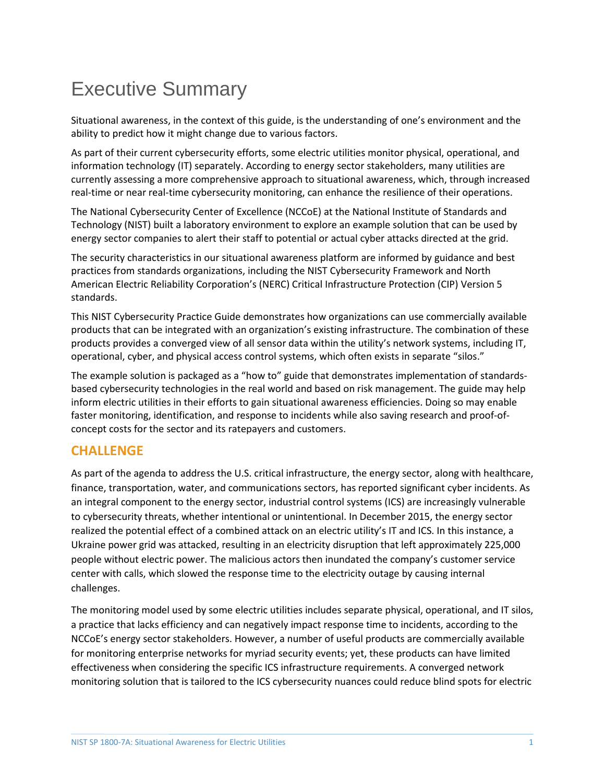## Executive Summary

Situational awareness, in the context of this guide, is the understanding of one's environment and the ability to predict how it might change due to various factors.

As part of their current cybersecurity efforts, some electric utilities monitor physical, operational, and information technology (IT) separately. According to energy sector stakeholders, many utilities are currently assessing a more comprehensive approach to situational awareness, which, through increased real-time or near real-time cybersecurity monitoring, can enhance the resilience of their operations.

The National Cybersecurity Center of Excellence (NCCoE) at the National Institute of Standards and Technology (NIST) built a laboratory environment to explore an example solution that can be used by energy sector companies to alert their staff to potential or actual cyber attacks directed at the grid.

The security characteristics in our situational awareness platform are informed by guidance and best practices from standards organizations, including the NIST Cybersecurity Framework and North American Electric Reliability Corporation's (NERC) Critical Infrastructure Protection (CIP) Version 5 standards.

This NIST Cybersecurity Practice Guide demonstrates how organizations can use commercially available products that can be integrated with an organization's existing infrastructure. The combination of these products provides a converged view of all sensor data within the utility's network systems, including IT, operational, cyber, and physical access control systems, which often exists in separate "silos."

The example solution is packaged as a "how to" guide that demonstrates implementation of standardsbased cybersecurity technologies in the real world and based on risk management. The guide may help inform electric utilities in their efforts to gain situational awareness efficiencies. Doing so may enable faster monitoring, identification, and response to incidents while also saving research and proof-ofconcept costs for the sector and its ratepayers and customers.

#### **CHALLENGE**

As part of the agenda to address the U.S. critical infrastructure, the energy sector, along with healthcare, finance, transportation, water, and communications sectors, has reported significant cyber incidents. As an integral component to the energy sector, industrial control systems (ICS) are increasingly vulnerable to cybersecurity threats, whether intentional or unintentional. In December 2015, the energy sector realized the potential effect of a combined attack on an electric utility's IT and ICS. In this instance, a Ukraine power grid was attacked, resulting in an electricity disruption that left approximately 225,000 people without electric power. The malicious actors then inundated the company's customer service center with calls, which slowed the response time to the electricity outage by causing internal challenges.

The monitoring model used by some electric utilities includes separate physical, operational, and IT silos, a practice that lacks efficiency and can negatively impact response time to incidents, according to the NCCoE's energy sector stakeholders. However, a number of useful products are commercially available for monitoring enterprise networks for myriad security events; yet, these products can have limited effectiveness when considering the specific ICS infrastructure requirements. A converged network monitoring solution that is tailored to the ICS cybersecurity nuances could reduce blind spots for electric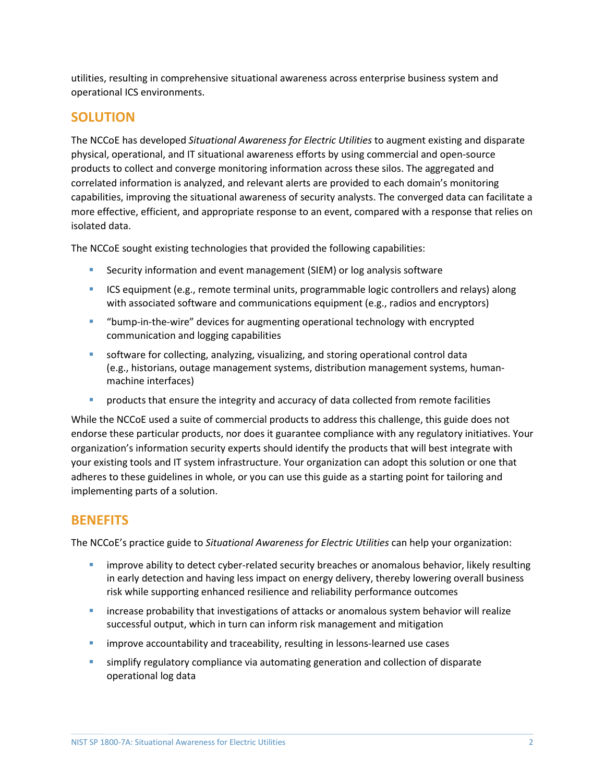utilities, resulting in comprehensive situational awareness across enterprise business system and operational ICS environments.

#### **SOLUTION**

The NCCoE has developed *Situational Awareness for Electric Utilities* to augment existing and disparate physical, operational, and IT situational awareness efforts by using commercial and open-source products to collect and converge monitoring information across these silos. The aggregated and correlated information is analyzed, and relevant alerts are provided to each domain's monitoring capabilities, improving the situational awareness of security analysts. The converged data can facilitate a more effective, efficient, and appropriate response to an event, compared with a response that relies on isolated data.

The NCCoE sought existing technologies that provided the following capabilities:

- **Security information and event management (SIEM) or log analysis software**
- **ICS** equipment (e.g., remote terminal units, programmable logic controllers and relays) along with associated software and communications equipment (e.g., radios and encryptors)
- "bump-in-the-wire" devices for augmenting operational technology with encrypted communication and logging capabilities
- **s** software for collecting, analyzing, visualizing, and storing operational control data (e.g., historians, outage management systems, distribution management systems, humanmachine interfaces)
- **PED 10 Products that ensure the integrity and accuracy of data collected from remote facilities**

While the NCCoE used a suite of commercial products to address this challenge, this guide does not endorse these particular products, nor does it guarantee compliance with any regulatory initiatives. Your organization's information security experts should identify the products that will best integrate with your existing tools and IT system infrastructure. Your organization can adopt this solution or one that adheres to these guidelines in whole, or you can use this guide as a starting point for tailoring and implementing parts of a solution.

#### **BENEFITS**

The NCCoE's practice guide to *Situational Awareness for Electric Utilities* can help your organization:

- **EXED 10** improve ability to detect cyber-related security breaches or anomalous behavior, likely resulting in early detection and having less impact on energy delivery, thereby lowering overall business risk while supporting enhanced resilience and reliability performance outcomes
- **EXED IDE ATTE:** increase probability that investigations of attacks or anomalous system behavior will realize successful output, which in turn can inform risk management and mitigation
- **EXED improve accountability and traceability, resulting in lessons-learned use cases**
- **Simplify regulatory compliance via automating generation and collection of disparate** operational log data